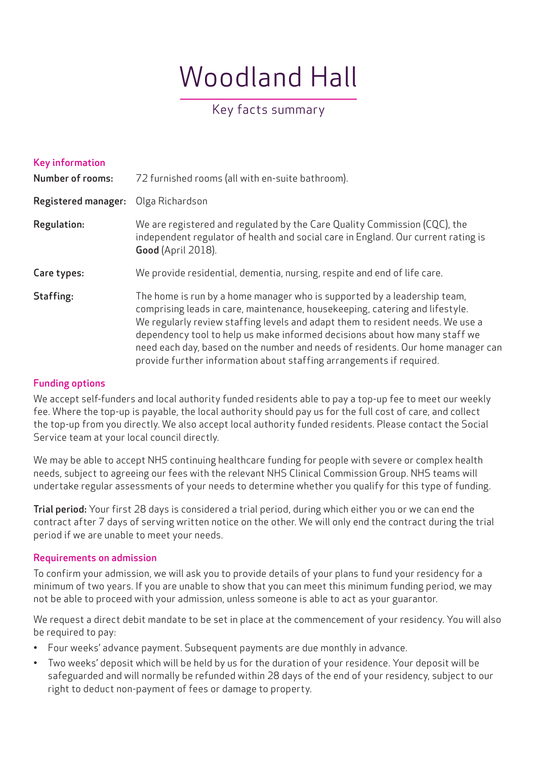# Woodland Hall

## Key facts summary

| <b>Key information</b><br><b>Number of rooms:</b> | 72 furnished rooms (all with en-suite bathroom).                                                                                                                                                                                                                                                                                                                                                                                                                                    |
|---------------------------------------------------|-------------------------------------------------------------------------------------------------------------------------------------------------------------------------------------------------------------------------------------------------------------------------------------------------------------------------------------------------------------------------------------------------------------------------------------------------------------------------------------|
| Registered manager:                               | Olga Richardson                                                                                                                                                                                                                                                                                                                                                                                                                                                                     |
| <b>Regulation:</b>                                | We are registered and regulated by the Care Quality Commission (CQC), the<br>independent regulator of health and social care in England. Our current rating is<br>Good (April 2018).                                                                                                                                                                                                                                                                                                |
| Care types:                                       | We provide residential, dementia, nursing, respite and end of life care.                                                                                                                                                                                                                                                                                                                                                                                                            |
| Staffing:                                         | The home is run by a home manager who is supported by a leadership team,<br>comprising leads in care, maintenance, housekeeping, catering and lifestyle.<br>We regularly review staffing levels and adapt them to resident needs. We use a<br>dependency tool to help us make informed decisions about how many staff we<br>need each day, based on the number and needs of residents. Our home manager can<br>provide further information about staffing arrangements if required. |

#### Funding options

We accept self-funders and local authority funded residents able to pay a top-up fee to meet our weekly fee. Where the top-up is payable, the local authority should pay us for the full cost of care, and collect the top-up from you directly. We also accept local authority funded residents. Please contact the Social Service team at your local council directly.

We may be able to accept NHS continuing healthcare funding for people with severe or complex health needs, subject to agreeing our fees with the relevant NHS Clinical Commission Group. NHS teams will undertake regular assessments of your needs to determine whether you qualify for this type of funding.

Trial period: Your first 28 days is considered a trial period, during which either you or we can end the contract after 7 days of serving written notice on the other. We will only end the contract during the trial period if we are unable to meet your needs.

#### Requirements on admission

To confirm your admission, we will ask you to provide details of your plans to fund your residency for a minimum of two years. If you are unable to show that you can meet this minimum funding period, we may not be able to proceed with your admission, unless someone is able to act as your guarantor.

We request a direct debit mandate to be set in place at the commencement of your residency. You will also be required to pay:

- Four weeks' advance payment. Subsequent payments are due monthly in advance.
- Two weeks' deposit which will be held by us for the duration of your residence. Your deposit will be safeguarded and will normally be refunded within 28 days of the end of your residency, subject to our right to deduct non-payment of fees or damage to property.